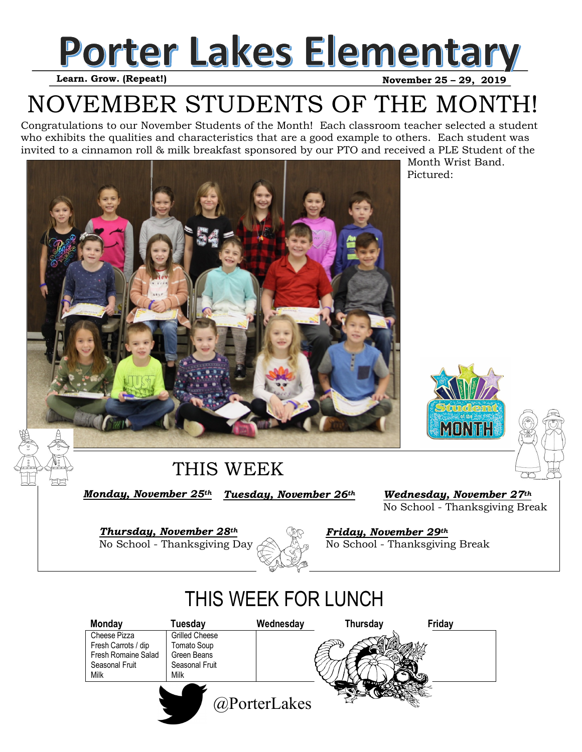

#### **Learn. Grow. (Repeat!)**

## NOVEMBER STUDENTS OF THE MONTH!

Congratulations to our November Students of the Month! Each classroom teacher selected a student who exhibits the qualities and characteristics that are a good example to others. Each student was invited to a cinnamon roll & milk breakfast sponsored by our PTO and received a PLE Student of the



 Month Wrist Band. Pictured:





#### THIS WEEK

*Tuesday, November 26th Monday, November 25th* 

*Wednesday, November 27th*  No School - Thanksgiving Break

*Thursday, November 28th*  No School - Thanksgiving Day



*Friday, November 29th*  No School - Thanksgiving Break

### THIS WEEK FOR LUNCH

| <b>Monday</b>       | Tuesday               | Wednesday    | Thursday | Friday |
|---------------------|-----------------------|--------------|----------|--------|
| Cheese Pizza        | <b>Grilled Cheese</b> |              |          |        |
| Fresh Carrots / dip | Tomato Soup           |              |          |        |
| Fresh Romaine Salad | Green Beans           |              |          |        |
| Seasonal Fruit      | Seasonal Fruit        |              |          |        |
| Milk                | Milk                  |              |          |        |
|                     |                       | @PorterLakes |          |        |